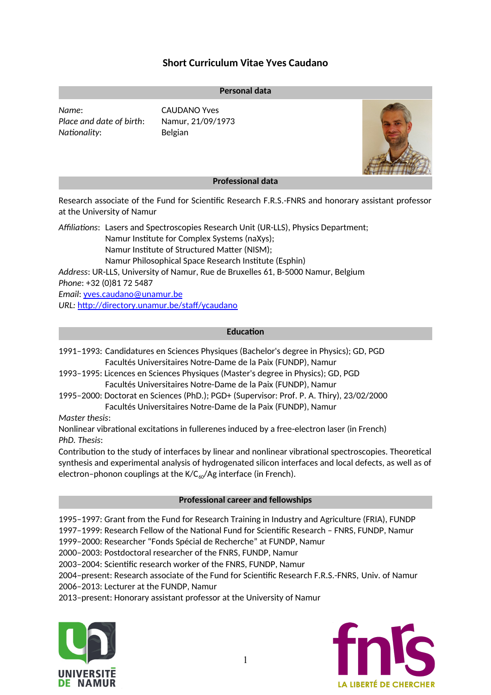# **Short Curriculum Vitae Yves Caudano**

#### **Personal data**

*Name*: CAUDANO Yves *Place and date of birth*: Namur, 21/09/1973 *Nationality*: Belgian



## **Professional data**

Research associate of the Fund for Scientific Research F.R.S.-FNRS and honorary assistant professor at the University of Namur

*Affiliations*: Lasers and Spectroscopies Research Unit (UR-LLS), Physics Department;

Namur Institute for Complex Systems (naXys);

Namur Institute of Structured Matter (NISM);

Namur Philosophical Space Research Institute (Esphin)

*Address*: UR-LLS, University of Namur, Rue de Bruxelles 61, B-5000 Namur, Belgium *Phone*: +32 (0)81 72 5487

*Email*: [yves.caudano@ unamur .be](mailto:yves.caudano@unamur.be)

*URL:* <http://directory.unamur.be/staff/ycaudano>

## **Education**

1991–1993: Candidatures en Sciences Physiques (Bachelor's degree in Physics); GD, PGD Facultés Universitaires Notre-Dame de la Paix (FUNDP), Namur

- 1993–1995: Licences en Sciences Physiques (Master's degree in Physics); GD, PGD Facultés Universitaires Notre-Dame de la Paix (FUNDP), Namur
- 1995–2000: Doctorat en Sciences (PhD.); PGD+ (Supervisor: Prof. P. A. Thiry), 23/02/2000 Facultés Universitaires Notre-Dame de la Paix (FUNDP), Namur

*Master thesis*:

Nonlinear vibrational excitations in fullerenes induced by a free-electron laser (in French) *PhD. Thesis*:

Contribution to the study of interfaces by linear and nonlinear vibrational spectroscopies. Theoretical synthesis and experimental analysis of hydrogenated silicon interfaces and local defects, as well as of electron-phonon couplings at the  $K/C_{60}/Ag$  interface (in French).

## **Professional career and fellowships**

1995–1997: Grant from the Fund for Research Training in Industry and Agriculture (FRIA), FUNDP 1997–1999: Research Fellow of the National Fund for Scientific Research – FNRS, FUNDP, Namur

1999–2000: Researcher "Fonds Spécial de Recherche" at FUNDP, Namur

2000–2003: Postdoctoral researcher of the FNRS, FUNDP, Namur

2003–2004: Scientific research worker of the FNRS, FUNDP, Namur

2004–present: Research associate of the Fund for Scientific Research F.R.S.-FNRS, Univ. of Namur 2006–2013: Lecturer at the FUNDP, Namur

2013–present: Honorary assistant professor at the University of Namur



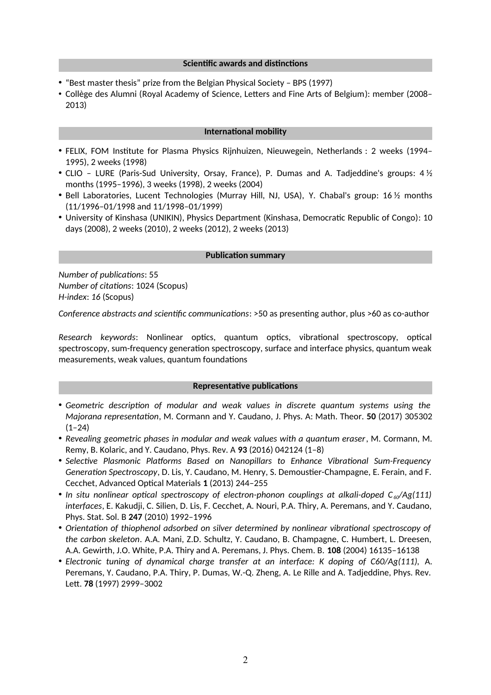#### **Scientific awards and distinctions**

- "Best master thesis" prize from the Belgian Physical Society BPS (1997)
- Collège des Alumni (Royal Academy of Science, Letters and Fine Arts of Belgium): member (2008– 2013)

#### **International mobility**

- FELIX, FOM Institute for Plasma Physics Rijnhuizen, Nieuwegein, Netherlands : 2 weeks (1994– 1995), 2 weeks (1998)
- CLIO LURE (Paris-Sud University, Orsay, France), P. Dumas and A. Tadjeddine's groups:  $4\frac{1}{2}$ months (1995–1996), 3 weeks (1998), 2 weeks (2004)
- Bell Laboratories, Lucent Technologies (Murray Hill, NJ, USA), Y. Chabal's group: 16 ½ months (11/1996–01/1998 and 11/1998–01/1999)
- University of Kinshasa (UNIKIN), Physics Department (Kinshasa, Democratic Republic of Congo): 10 days (2008), 2 weeks (2010), 2 weeks (2012), 2 weeks (2013)

#### **Publication summary**

*Number of publications*: 55 *Number of citations*: 1024 (Scopus) *H-index*: *16* (Scopus)

*Conference abstracts and scientific communications*: >50 as presenting author, plus >60 as co-author

*Research keywords*: Nonlinear optics, quantum optics, vibrational spectroscopy, optical spectroscopy, sum-frequency generation spectroscopy, surface and interface physics, quantum weak measurements, weak values, quantum foundations

### **Representative publications**

- *Geometric description of modular and weak values in discrete quantum systems using the Majorana representation*, M. Cormann and Y. Caudano, J. Phys. A: Math. Theor. **50** (2017) 305302  $(1-24)$
- *Revealing geometric phases in modular and weak values with a quantum eraser*, M. Cormann, M. Remy, B. Kolaric, and Y. Caudano, Phys. Rev. A **93** (2016) 042124 (1–8)
- *Selective Plasmonic Platforms Based on Nanopillars to Enhance Vibrational Sum-Frequency Generation Spectroscopy*, D. Lis, Y. Caudano, M. Henry, S. Demoustier-Champagne, E. Ferain, and F. Cecchet, Advanced Optical Materials **1** (2013) 244–255
- In situ nonlinear optical spectroscopy of electron-phonon couplings at alkali-doped C<sub>60</sub>/Ag(111) *interfaces*, E. Kakudji, C. Silien, D. Lis, F. Cecchet, A. Nouri, P.A. Thiry, A. Peremans, and Y. Caudano, Phys. Stat. Sol. B **247** (2010) 1992–1996
- *Orientation of thiophenol adsorbed on silver determined by nonlinear vibrational spectroscopy of the carbon skeleton*. A.A. Mani, Z.D. Schultz, Y. Caudano, B. Champagne, C. Humbert, L. Dreesen, A.A. Gewirth, J.O. White, P.A. Thiry and A. Peremans, J. Phys. Chem. B. **108** (2004) 16135–16138
- *Electronic tuning of dynamical charge transfer at an interface: K doping of C60/Ag(111),* A. Peremans, Y. Caudano, P.A. Thiry, P. Dumas, W.-Q. Zheng, A. Le Rille and A. Tadjeddine, Phys. Rev. Lett. **78** (1997) 2999–3002